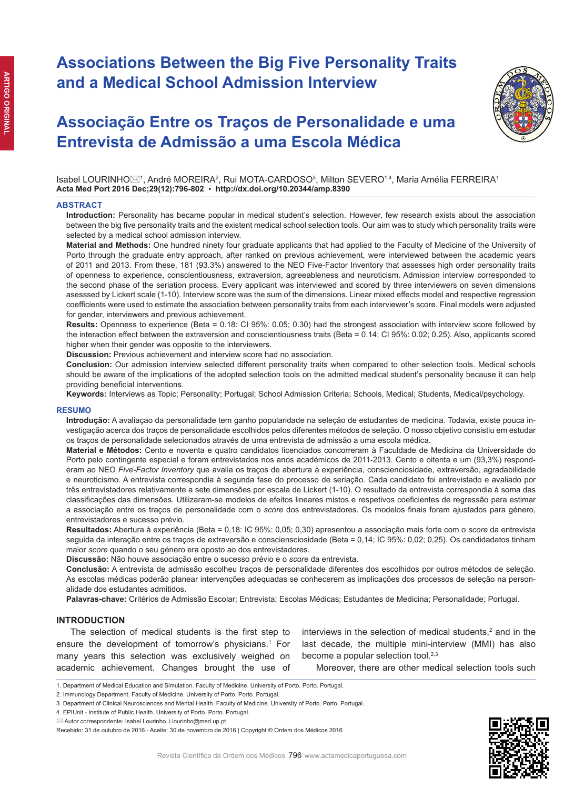# **Associations Between the Big Five Personality Traits and a Medical School Admission Interview**



# **Associação Entre os Traços de Personalidade e uma Entrevista de Admissão a uma Escola Médica**

Isabel LOURINHO $\boxtimes^1$ , André MOREIRA $^2$ , Rui MOTA-CARDOSO $^3$ , Milton SEVERO $^{1.4}$ , Maria Amélia FERREIRA $^4$ **Acta Med Port 2016 Dec;29(12):796-802** ▪ **http://dx.doi.org/10.20344/amp.8390**

#### **ABSTRACT**

**Introduction:** Personality has became popular in medical student's selection. However, few research exists about the association between the big five personality traits and the existent medical school selection tools. Our aim was to study which personality traits were selected by a medical school admission interview.

**Material and Methods:** One hundred ninety four graduate applicants that had applied to the Faculty of Medicine of the University of Porto through the graduate entry approach, after ranked on previous achievement, were interviewed between the academic years of 2011 and 2013. From these, 181 (93.3%) answered to the NEO Five-Factor Inventory that assesses high order personality traits of openness to experience, conscientiousness, extraversion, agreeableness and neuroticism. Admission interview corresponded to the second phase of the seriation process. Every applicant was interviewed and scored by three interviewers on seven dimensions asesssed by Lickert scale (1-10). Interview score was the sum of the dimensions. Linear mixed effects model and respective regression coefficients were used to estimate the association between personality traits from each interviewer's score. Final models were adjusted for gender, interviewers and previous achievement.

**Results:** Openness to experience (Beta = 0.18: CI 95%: 0.05; 0.30) had the strongest association with interview score followed by the interaction effect between the extraversion and conscientiousness traits (Beta = 0.14; CI 95%: 0.02; 0.25). Also, applicants scored higher when their gender was opposite to the interviewers.

**Discussion:** Previous achievement and interview score had no association.

**Conclusion:** Our admission interview selected different personality traits when compared to other selection tools. Medical schools should be aware of the implications of the adopted selection tools on the admitted medical student's personality because it can help providing beneficial interventions.

**Keywords:** Interviews as Topic; Personality; Portugal; School Admission Criteria; Schools, Medical; Students, Medical/psychology.

#### **RESUMO**

**Introdução:** A avaliaçao da personalidade tem ganho popularidade na seleção de estudantes de medicina. Todavia, existe pouca investigação acerca dos traços de personalidade escolhidos pelos diferentes métodos de seleção. O nosso objetivo consistiu em estudar os traços de personalidade selecionados através de uma entrevista de admissão a uma escola médica.

**Material e Métodos:** Cento e noventa e quatro candidatos licenciados concorreram à Faculdade de Medicina da Universidade do Porto pelo contingente especial e foram entrevistados nos anos académicos de 2011-2013. Cento e oitenta e um (93,3%) responderam ao NEO *Five-Factor Inventory* que avalia os traços de abertura à experiência, conscienciosidade, extraversão, agradabilidade e neuroticismo. A entrevista correspondia à segunda fase do processo de seriação. Cada candidato foi entrevistado e avaliado por três entrevistadores relativamente a sete dimensões por escala de Lickert (1-10). O resultado da entrevista correspondia à soma das classificações das dimensões. Utilizaram-se modelos de efeitos lineares mistos e respetivos coeficientes de regressão para estimar a associação entre os traços de personalidade com o *score* dos entrevistadores. Os modelos finais foram ajustados para género, entrevistadores e sucesso prévio.

**Resultados:** Abertura à experiência (Beta = 0,18: IC 95%: 0,05; 0,30) apresentou a associação mais forte com o *score* da entrevista seguida da interação entre os traços de extraversão e consciensciosidade (Beta = 0,14; IC 95%: 0,02; 0,25). Os candidadatos tinham maior *score* quando o seu género era oposto ao dos entrevistadores.

**Discussão:** Não houve associação entre o sucesso prévio e o *score* da entrevista.

**Conclusão:** A entrevista de admissão escolheu traços de personalidade diferentes dos escolhidos por outros métodos de seleção. As escolas médicas poderão planear intervenções adequadas se conhecerem as implicações dos processos de seleção na personalidade dos estudantes admitidos.

**Palavras-chave:** Critérios de Admissão Escolar; Entrevista; Escolas Médicas; Estudantes de Medicina; Personalidade; Portugal.

## **INTRODUCTION**

The selection of medical students is the first step to ensure the development of tomorrow's physicians.<sup>1</sup> For many years this selection was exclusively weighed on academic achievement. Changes brought the use of interviews in the selection of medical students, $2$  and in the last decade, the multiple mini-interview (MMI) has also become a popular selection tool.<sup>2,3</sup>

Moreover, there are other medical selection tools such



<sup>1.</sup> Department of Medical Education and Simulation. Faculty of Medicine. University of Porto. Porto. Portugal.

<sup>2.</sup> Immunology Department. Faculty of Medicine. University of Porto. Porto. Portugal.

<sup>3.</sup> Department of Clinical Neurosciences and Mental Health. Faculty of Medicine. University of Porto. Porto. Portugal.

<sup>4.</sup> EPIUnit - Institute of Public Health. University of Porto. Porto. Portugal.

Autor correspondente: Isabel Lourinho. i.lourinho@med.up.pt

Recebido: 31 de outubro de 2016 - Aceite: 30 de novembro de 2016 | Copyright © Ordem dos Médicos 2016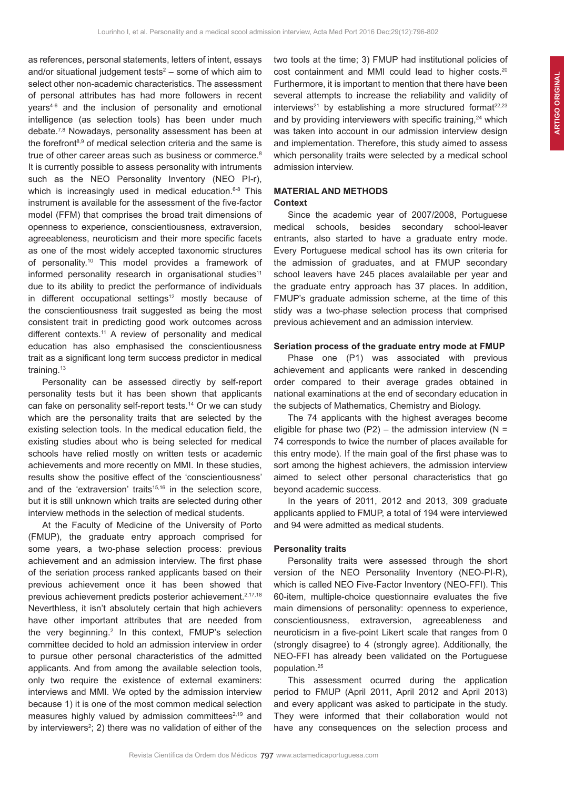as references, personal statements, letters of intent, essays and/or situational judgement tests<sup>2</sup> – some of which aim to select other non-academic characteristics. The assessment of personal attributes has had more followers in recent years<sup>4-6</sup> and the inclusion of personality and emotional intelligence (as selection tools) has been under much debate.7,8 Nowadays, personality assessment has been at the forefront<sup>8,9</sup> of medical selection criteria and the same is true of other career areas such as business or commerce.<sup>8</sup> It is currently possible to assess personality with intruments such as the NEO Personality Inventory (NEO PI-r), which is increasingly used in medical education. $6-8$  This instrument is available for the assessment of the five-factor model (FFM) that comprises the broad trait dimensions of openness to experience, conscientiousness, extraversion, agreeableness, neuroticism and their more specific facets as one of the most widely accepted taxonomic structures of personality.<sup>10</sup> This model provides a framework of informed personality research in organisational studies<sup>11</sup> due to its ability to predict the performance of individuals in different occupational settings $12$  mostly because of the conscientiousness trait suggested as being the most consistent trait in predicting good work outcomes across different contexts.<sup>11</sup> A review of personality and medical education has also emphasised the conscientiousness trait as a significant long term success predictor in medical training.<sup>13</sup>

Personality can be assessed directly by self-report personality tests but it has been shown that applicants can fake on personality self-report tests.<sup>14</sup> Or we can study which are the personality traits that are selected by the existing selection tools. In the medical education field, the existing studies about who is being selected for medical schools have relied mostly on written tests or academic achievements and more recently on MMI. In these studies, results show the positive effect of the 'conscientiousness' and of the 'extraversion' traits<sup>15,16</sup> in the selection score, but it is still unknown which traits are selected during other interview methods in the selection of medical students.

At the Faculty of Medicine of the University of Porto (FMUP), the graduate entry approach comprised for some years, a two-phase selection process: previous achievement and an admission interview. The first phase of the seriation process ranked applicants based on their previous achievement once it has been showed that previous achievement predicts posterior achievement.<sup>2,17,18</sup> Neverthless, it isn't absolutely certain that high achievers have other important attributes that are needed from the very beginning.<sup>2</sup> In this context, FMUP's selection committee decided to hold an admission interview in order to pursue other personal characteristics of the admitted applicants. And from among the available selection tools, only two require the existence of external examiners: interviews and MMI. We opted by the admission interview because 1) it is one of the most common medical selection measures highly valued by admission committees $2,19$  and by interviewers<sup>2</sup>; 2) there was no validation of either of the

two tools at the time; 3) FMUP had institutional policies of cost containment and MMI could lead to higher costs.20 Furthermore, it is important to mention that there have been several attempts to increase the reliability and validity of interviews<sup>21</sup> by establishing a more structured format<sup>22,23</sup> and by providing interviewers with specific training,<sup>24</sup> which was taken into account in our admission interview design and implementation. Therefore, this study aimed to assess which personality traits were selected by a medical school admission interview.

## **MATERIAL AND METHODS**

## **Context**

Since the academic year of 2007/2008, Portuguese medical schools, besides secondary school-leaver entrants, also started to have a graduate entry mode. Every Portuguese medical school has its own criteria for the admission of graduates, and at FMUP secondary school leavers have 245 places avalailable per year and the graduate entry approach has 37 places. In addition, FMUP's graduate admission scheme, at the time of this stidy was a two-phase selection process that comprised previous achievement and an admission interview.

## **Seriation process of the graduate entry mode at FMUP**

Phase one (P1) was associated with previous achievement and applicants were ranked in descending order compared to their average grades obtained in national examinations at the end of secondary education in the subjects of Mathematics, Chemistry and Biology.

The 74 applicants with the highest averages become eligible for phase two  $(P2)$  – the admission interview  $(N =$ 74 corresponds to twice the number of places available for this entry mode). If the main goal of the first phase was to sort among the highest achievers, the admission interview aimed to select other personal characteristics that go beyond academic success.

In the years of 2011, 2012 and 2013, 309 graduate applicants applied to FMUP, a total of 194 were interviewed and 94 were admitted as medical students.

## **Personality traits**

Personality traits were assessed through the short version of the NEO Personality Inventory (NEO-PI-R), which is called NEO Five-Factor Inventory (NEO-FFI). This 60-item, multiple-choice questionnaire evaluates the five main dimensions of personality: openness to experience, conscientiousness, extraversion, agreeableness and neuroticism in a five-point Likert scale that ranges from 0 (strongly disagree) to 4 (strongly agree). Additionally, the NEO-FFI has already been validated on the Portuguese population.25

This assessment ocurred during the application period to FMUP (April 2011, April 2012 and April 2013) and every applicant was asked to participate in the study. They were informed that their collaboration would not have any consequences on the selection process and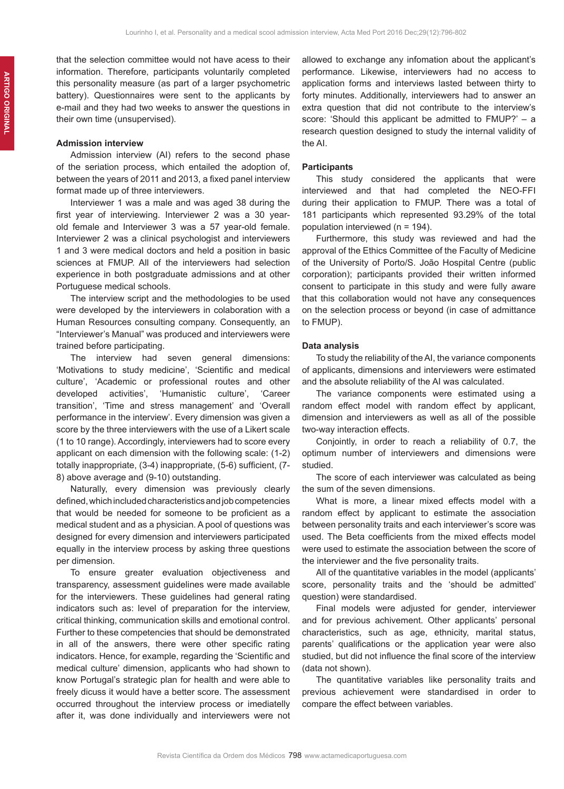that the selection committee would not have acess to their information. Therefore, participants voluntarily completed this personality measure (as part of a larger psychometric battery). Questionnaires were sent to the applicants by e-mail and they had two weeks to answer the questions in their own time (unsupervised).

#### **Admission interview**

Admission interview (AI) refers to the second phase of the seriation process, which entailed the adoption of, between the years of 2011 and 2013, a fixed panel interview format made up of three interviewers.

Interviewer 1 was a male and was aged 38 during the first year of interviewing. Interviewer 2 was a 30 yearold female and Interviewer 3 was a 57 year-old female. Interviewer 2 was a clinical psychologist and interviewers 1 and 3 were medical doctors and held a position in basic sciences at FMUP. All of the interviewers had selection experience in both postgraduate admissions and at other Portuguese medical schools.

The interview script and the methodologies to be used were developed by the interviewers in colaboration with a Human Resources consulting company. Consequently, an "Interviewer's Manual" was produced and interviewers were trained before participating.

The interview had seven general dimensions: 'Motivations to study medicine', 'Scientific and medical culture', 'Academic or professional routes and other developed activities', 'Humanistic culture', 'Career transition', 'Time and stress management' and 'Overall performance in the interview'. Every dimension was given a score by the three interviewers with the use of a Likert scale (1 to 10 range). Accordingly, interviewers had to score every applicant on each dimension with the following scale: (1-2) totally inappropriate, (3-4) inappropriate, (5-6) sufficient, (7- 8) above average and (9-10) outstanding.

Naturally, every dimension was previously clearly defined, which included characteristics and job competencies that would be needed for someone to be proficient as a medical student and as a physician. A pool of questions was designed for every dimension and interviewers participated equally in the interview process by asking three questions per dimension.

To ensure greater evaluation objectiveness and transparency, assessment guidelines were made available for the interviewers. These guidelines had general rating indicators such as: level of preparation for the interview, critical thinking, communication skills and emotional control. Further to these competencies that should be demonstrated in all of the answers, there were other specific rating indicators. Hence, for example, regarding the 'Scientific and medical culture' dimension, applicants who had shown to know Portugal's strategic plan for health and were able to freely dicuss it would have a better score. The assessment occurred throughout the interview process or imediatelly after it, was done individually and interviewers were not

allowed to exchange any infomation about the applicant's performance. Likewise, interviewers had no access to application forms and interviews lasted between thirty to forty minutes. Additionally, interviewers had to answer an extra question that did not contribute to the interview's score: 'Should this applicant be admitted to FMUP?' – a research question designed to study the internal validity of the AI.

#### **Participants**

This study considered the applicants that were interviewed and that had completed the NEO-FFI during their application to FMUP. There was a total of 181 participants which represented 93.29% of the total population interviewed (n = 194).

Furthermore, this study was reviewed and had the approval of the Ethics Committee of the Faculty of Medicine of the University of Porto/S. João Hospital Centre (public corporation); participants provided their written informed consent to participate in this study and were fully aware that this collaboration would not have any consequences on the selection process or beyond (in case of admittance to FMUP).

#### **Data analysis**

To study the reliability of the AI, the variance components of applicants, dimensions and interviewers were estimated and the absolute reliability of the AI was calculated.

The variance components were estimated using a random effect model with random effect by applicant, dimension and interviewers as well as all of the possible two-way interaction effects.

Conjointly, in order to reach a reliability of 0.7, the optimum number of interviewers and dimensions were studied.

The score of each interviewer was calculated as being the sum of the seven dimensions.

What is more, a linear mixed effects model with a random effect by applicant to estimate the association between personality traits and each interviewer's score was used. The Beta coefficients from the mixed effects model were used to estimate the association between the score of the interviewer and the five personality traits.

All of the quantitative variables in the model (applicants' score, personality traits and the 'should be admitted' question) were standardised.

Final models were adjusted for gender, interviewer and for previous achivement. Other applicants' personal characteristics, such as age, ethnicity, marital status, parents' qualifications or the application year were also studied, but did not influence the final score of the interview (data not shown).

The quantitative variables like personality traits and previous achievement were standardised in order to compare the effect between variables.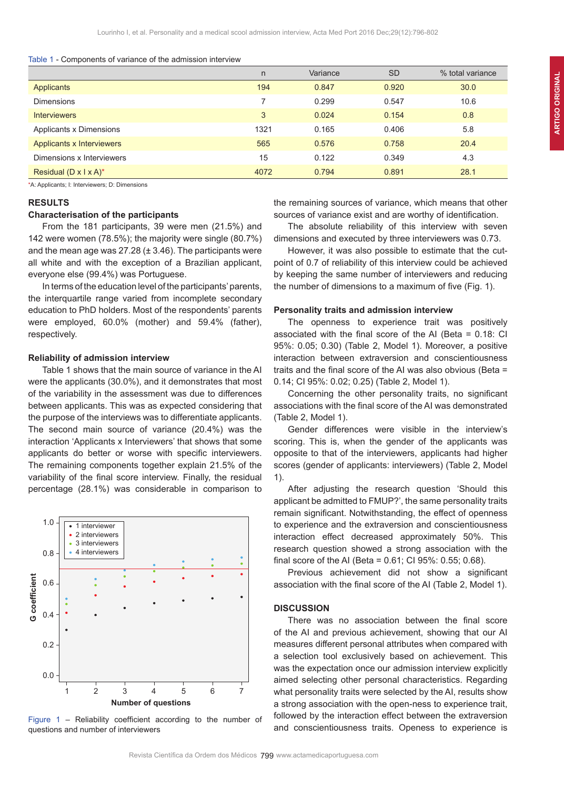#### Table 1 - Components of variance of the admission interview

|                                    | n    | Variance | <b>SD</b> | % total variance |
|------------------------------------|------|----------|-----------|------------------|
| Applicants                         | 194  | 0.847    | 0.920     | 30.0             |
| <b>Dimensions</b>                  |      | 0.299    | 0.547     | 10.6             |
| <b>Interviewers</b>                | 3    | 0.024    | 0.154     | 0.8              |
| Applicants x Dimensions            | 1321 | 0.165    | 0.406     | 5.8              |
| Applicants x Interviewers          | 565  | 0.576    | 0.758     | 20.4             |
| Dimensions x Interviewers          | 15   | 0.122    | 0.349     | 4.3              |
| Residual $(D \times I \times A)^*$ | 4072 | 0.794    | 0.891     | 28.1             |

\*A: Applicants; I: Interviewers; D: Dimensions

## **RESULTS**

#### **Characterisation of the participants**

From the 181 participants, 39 were men (21.5%) and 142 were women (78.5%); the majority were single (80.7%) and the mean age was  $27.28$  ( $\pm$  3.46). The participants were all white and with the exception of a Brazilian applicant, everyone else (99.4%) was Portuguese.

In terms of the education level of the participants' parents, the interquartile range varied from incomplete secondary education to PhD holders. Most of the respondents' parents were employed, 60.0% (mother) and 59.4% (father), respectively.

## **Reliability of admission interview**

Table 1 shows that the main source of variance in the AI were the applicants (30.0%), and it demonstrates that most of the variability in the assessment was due to differences between applicants. This was as expected considering that the purpose of the interviews was to differentiate applicants. The second main source of variance (20.4%) was the interaction 'Applicants x Interviewers' that shows that some applicants do better or worse with specific interviewers. The remaining components together explain 21.5% of the variability of the final score interview. Finally, the residual percentage (28.1%) was considerable in comparison to



Figure 1 – Reliability coefficient according to the number of questions and number of interviewers

the remaining sources of variance, which means that other sources of variance exist and are worthy of identification.

The absolute reliability of this interview with seven dimensions and executed by three interviewers was 0.73.

However, it was also possible to estimate that the cutpoint of 0.7 of reliability of this interview could be achieved by keeping the same number of interviewers and reducing the number of dimensions to a maximum of five (Fig. 1).

#### **Personality traits and admission interview**

The openness to experience trait was positively associated with the final score of the AI (Beta = 0.18: CI 95%: 0.05; 0.30) (Table 2, Model 1). Moreover, a positive interaction between extraversion and conscientiousness traits and the final score of the AI was also obvious (Beta = 0.14; CI 95%: 0.02; 0.25) (Table 2, Model 1).

Concerning the other personality traits, no significant associations with the final score of the AI was demonstrated (Table 2, Model 1).

Gender differences were visible in the interview's scoring. This is, when the gender of the applicants was opposite to that of the interviewers, applicants had higher scores (gender of applicants: interviewers) (Table 2, Model 1).

After adjusting the research question 'Should this applicant be admitted to FMUP?', the same personality traits remain significant. Notwithstanding, the effect of openness to experience and the extraversion and conscientiousness interaction effect decreased approximately 50%. This research question showed a strong association with the final score of the AI (Beta = 0.61; CI 95%: 0.55; 0.68).

Previous achievement did not show a significant association with the final score of the AI (Table 2, Model 1).

#### **DISCUSSION**

There was no association between the final score of the AI and previous achievement, showing that our AI measures different personal attributes when compared with a selection tool exclusively based on achievement. This was the expectation once our admission interview explicitly aimed selecting other personal characteristics. Regarding what personality traits were selected by the AI, results show a strong association with the open-ness to experience trait, followed by the interaction effect between the extraversion and conscientiousness traits. Openess to experience is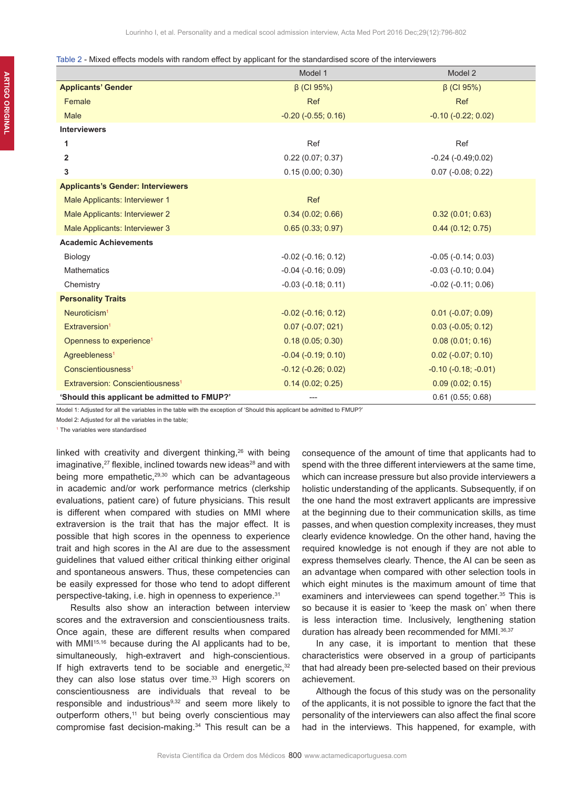#### Table 2 - Mixed effects models with random effect by applicant for the standardised score of the interviewers

|                                              | Model 1                 | Model 2                  |  |
|----------------------------------------------|-------------------------|--------------------------|--|
| <b>Applicants' Gender</b>                    | $\beta$ (CI 95%)        | $\beta$ (CI 95%)         |  |
| Female                                       | <b>Ref</b>              | Ref                      |  |
| Male                                         | $-0.20$ $(-0.55; 0.16)$ | $-0.10$ $(-0.22; 0.02)$  |  |
| <b>Interviewers</b>                          |                         |                          |  |
| 1                                            | Ref                     | Ref                      |  |
| 2                                            | 0.22(0.07; 0.37)        | $-0.24$ $(-0.49;0.02)$   |  |
| 3                                            | 0.15(0.00; 0.30)        | $0.07$ (-0.08; 0.22)     |  |
| <b>Applicants's Gender: Interviewers</b>     |                         |                          |  |
| Male Applicants: Interviewer 1               | Ref                     |                          |  |
| Male Applicants: Interviewer 2               | 0.34(0.02; 0.66)        | 0.32(0.01; 0.63)         |  |
| Male Applicants: Interviewer 3               | 0.65(0.33; 0.97)        | 0.44(0.12; 0.75)         |  |
| <b>Academic Achievements</b>                 |                         |                          |  |
| Biology                                      | $-0.02$ $(-0.16; 0.12)$ | $-0.05$ $(-0.14; 0.03)$  |  |
| <b>Mathematics</b>                           | $-0.04$ $(-0.16; 0.09)$ | $-0.03$ $(-0.10; 0.04)$  |  |
| Chemistry                                    | $-0.03$ $(-0.18; 0.11)$ | $-0.02$ $(-0.11; 0.06)$  |  |
| <b>Personality Traits</b>                    |                         |                          |  |
| Neuroticism <sup>1</sup>                     | $-0.02$ $(-0.16; 0.12)$ | $0.01 (-0.07; 0.09)$     |  |
| Extraversion <sup>1</sup>                    | $0.07 (-0.07; 021)$     | $0.03$ (-0.05; 0.12)     |  |
| Openness to experience <sup>1</sup>          | 0.18(0.05; 0.30)        | 0.08(0.01; 0.16)         |  |
| Agreebleness <sup>1</sup>                    | $-0.04$ $(-0.19; 0.10)$ | $0.02$ (-0.07; 0.10)     |  |
| Conscientiousness <sup>1</sup>               | $-0.12$ $(-0.26; 0.02)$ | $-0.10$ $(-0.18; -0.01)$ |  |
| Extraversion: Conscientiousness <sup>1</sup> | 0.14(0.02; 0.25)        | 0.09(0.02; 0.15)         |  |
| 'Should this applicant be admitted to FMUP?' |                         | 0.61(0.55; 0.68)         |  |

Model 1: Adjusted for all the variables in the table with the exception of 'Should this applicant be admitted to FMUP?'

Model 2: Adjusted for all the variables in the table;

<sup>1</sup> The variables were standardised

linked with creativity and divergent thinking,<sup>26</sup> with being imaginative,<sup>27</sup> flexible, inclined towards new ideas<sup>28</sup> and with being more empathetic,<sup>29,30</sup> which can be advantageous in academic and/or work performance metrics (clerkship evaluations, patient care) of future physicians. This result is different when compared with studies on MMI where extraversion is the trait that has the major effect. It is possible that high scores in the openness to experience trait and high scores in the AI are due to the assessment guidelines that valued either critical thinking either original and spontaneous answers. Thus, these competencies can be easily expressed for those who tend to adopt different perspective-taking, i.e. high in openness to experience.<sup>31</sup>

Results also show an interaction between interview scores and the extraversion and conscientiousness traits. Once again, these are different results when compared with MMI<sup>15,16</sup> because during the AI applicants had to be, simultaneously, high-extravert and high-conscientious. If high extraverts tend to be sociable and energetic, $32$ they can also lose status over time.<sup>33</sup> High scorers on conscientiousness are individuals that reveal to be responsible and industrious<sup>9,32</sup> and seem more likely to outperform others,<sup>11</sup> but being overly conscientious may compromise fast decision-making.<sup>34</sup> This result can be a

consequence of the amount of time that applicants had to spend with the three different interviewers at the same time, which can increase pressure but also provide interviewers a holistic understanding of the applicants. Subsequently, if on the one hand the most extravert applicants are impressive at the beginning due to their communication skills, as time passes, and when question complexity increases, they must clearly evidence knowledge. On the other hand, having the required knowledge is not enough if they are not able to express themselves clearly. Thence, the AI can be seen as an advantage when compared with other selection tools in which eight minutes is the maximum amount of time that examiners and interviewees can spend together.<sup>35</sup> This is so because it is easier to 'keep the mask on' when there is less interaction time. Inclusively, lengthening station duration has already been recommended for MMI.36,37

In any case, it is important to mention that these characteristics were observed in a group of participants that had already been pre-selected based on their previous achievement.

Although the focus of this study was on the personality of the applicants, it is not possible to ignore the fact that the personality of the interviewers can also affect the final score had in the interviews. This happened, for example, with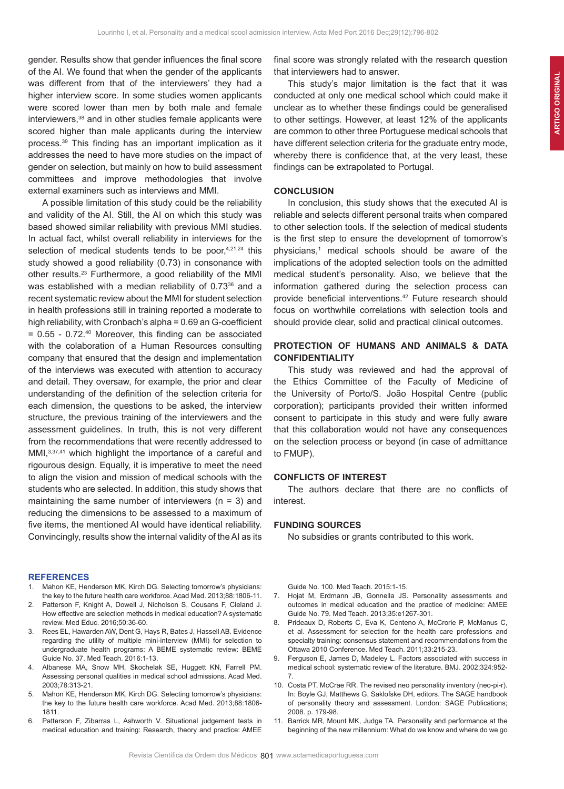gender. Results show that gender influences the final score of the AI. We found that when the gender of the applicants was different from that of the interviewers' they had a higher interview score. In some studies women applicants were scored lower than men by both male and female interviewers,38 and in other studies female applicants were scored higher than male applicants during the interview process.<sup>39</sup> This finding has an important implication as it addresses the need to have more studies on the impact of gender on selection, but mainly on how to build assessment committees and improve methodologies that involve external examiners such as interviews and MMI.

A possible limitation of this study could be the reliability and validity of the AI. Still, the AI on which this study was based showed similar reliability with previous MMI studies. In actual fact, whilst overall reliability in interviews for the selection of medical students tends to be poor, $4,21,24$  this study showed a good reliability (0.73) in consonance with other results.<sup>23</sup> Furthermore, a good reliability of the MMI was established with a median reliability of  $0.73^{36}$  and a recent systematic review about the MMI for student selection in health professions still in training reported a moderate to high reliability, with Cronbach's alpha = 0.69 an G-coefficient  $= 0.55 - 0.72<sup>40</sup>$  Moreover, this finding can be associated with the colaboration of a Human Resources consulting company that ensured that the design and implementation of the interviews was executed with attention to accuracy and detail. They oversaw, for example, the prior and clear understanding of the definition of the selection criteria for each dimension, the questions to be asked, the interview structure, the previous training of the interviewers and the assessment guidelines. In truth, this is not very different from the recommendations that were recently addressed to MMI,3,37,41 which highlight the importance of a careful and rigourous design. Equally, it is imperative to meet the need to align the vision and mission of medical schools with the students who are selected. In addition, this study shows that maintaining the same number of interviewers ( $n = 3$ ) and reducing the dimensions to be assessed to a maximum of five items, the mentioned AI would have identical reliability. Convincingly, results show the internal validity of the AI as its

## **REFERENCES**

- 1. Mahon KE, Henderson MK, Kirch DG. Selecting tomorrow's physicians: the key to the future health care workforce. Acad Med. 2013;88:1806-11.
- 2. Patterson F, Knight A, Dowell J, Nicholson S, Cousans F, Cleland J. How effective are selection methods in medical education? A systematic review. Med Educ. 2016;50:36-60.
- 3. Rees EL, Hawarden AW, Dent G, Hays R, Bates J, Hassell AB. Evidence regarding the utility of multiple mini-interview (MMI) for selection to undergraduate health programs: A BEME systematic review: BEME Guide No. 37. Med Teach. 2016:1-13.
- 4. Albanese MA, Snow MH, Skochelak SE, Huggett KN, Farrell PM. Assessing personal qualities in medical school admissions. Acad Med. 2003;78:313-21.
- 5. Mahon KE, Henderson MK, Kirch DG. Selecting tomorrow's physicians: the key to the future health care workforce. Acad Med. 2013;88:1806- 1811.
- 6. Patterson F, Zibarras L, Ashworth V. Situational judgement tests in medical education and training: Research, theory and practice: AMEE

final score was strongly related with the research question that interviewers had to answer.

This study's major limitation is the fact that it was conducted at only one medical school which could make it unclear as to whether these findings could be generalised to other settings. However, at least 12% of the applicants are common to other three Portuguese medical schools that have different selection criteria for the graduate entry mode, whereby there is confidence that, at the very least, these findings can be extrapolated to Portugal.

## **CONCLUSION**

In conclusion, this study shows that the executed AI is reliable and selects different personal traits when compared to other selection tools. If the selection of medical students is the first step to ensure the development of tomorrow's physicians,<sup>1</sup> medical schools should be aware of the implications of the adopted selection tools on the admitted medical student's personality. Also, we believe that the information gathered during the selection process can provide beneficial interventions.<sup>42</sup> Future research should focus on worthwhile correlations with selection tools and should provide clear, solid and practical clinical outcomes.

## **PROTECTION OF HUMANS AND ANIMALS & DATA CONFIDENTIALITY**

This study was reviewed and had the approval of the Ethics Committee of the Faculty of Medicine of the University of Porto/S. João Hospital Centre (public corporation); participants provided their written informed consent to participate in this study and were fully aware that this collaboration would not have any consequences on the selection process or beyond (in case of admittance to FMUP).

## **CONFLICTS OF INTEREST**

The authors declare that there are no conflicts of interest.

## **FUNDING SOURCES**

No subsidies or grants contributed to this work.

Guide No. 100. Med Teach. 2015:1-15.

- 7. Hojat M, Erdmann JB, Gonnella JS. Personality assessments and outcomes in medical education and the practice of medicine: AMEE Guide No. 79. Med Teach. 2013;35:e1267-301.
- 8. Prideaux D, Roberts C, Eva K, Centeno A, McCrorie P, McManus C, et al. Assessment for selection for the health care professions and specialty training: consensus statement and recommendations from the Ottawa 2010 Conference. Med Teach. 2011;33:215-23.
- 9. Ferguson E, James D, Madeley L. Factors associated with success in medical school: systematic review of the literature. BMJ. 2002;324:952- 7.
- 10. Costa PT, McCrae RR. The revised neo personality inventory (neo-pi-r). In: Boyle GJ, Matthews G, Saklofske DH, editors. The SAGE handbook of personality theory and assessment. London: SAGE Publications; 2008. p. 179-98.
- 11. Barrick MR, Mount MK, Judge TA. Personality and performance at the beginning of the new millennium: What do we know and where do we go